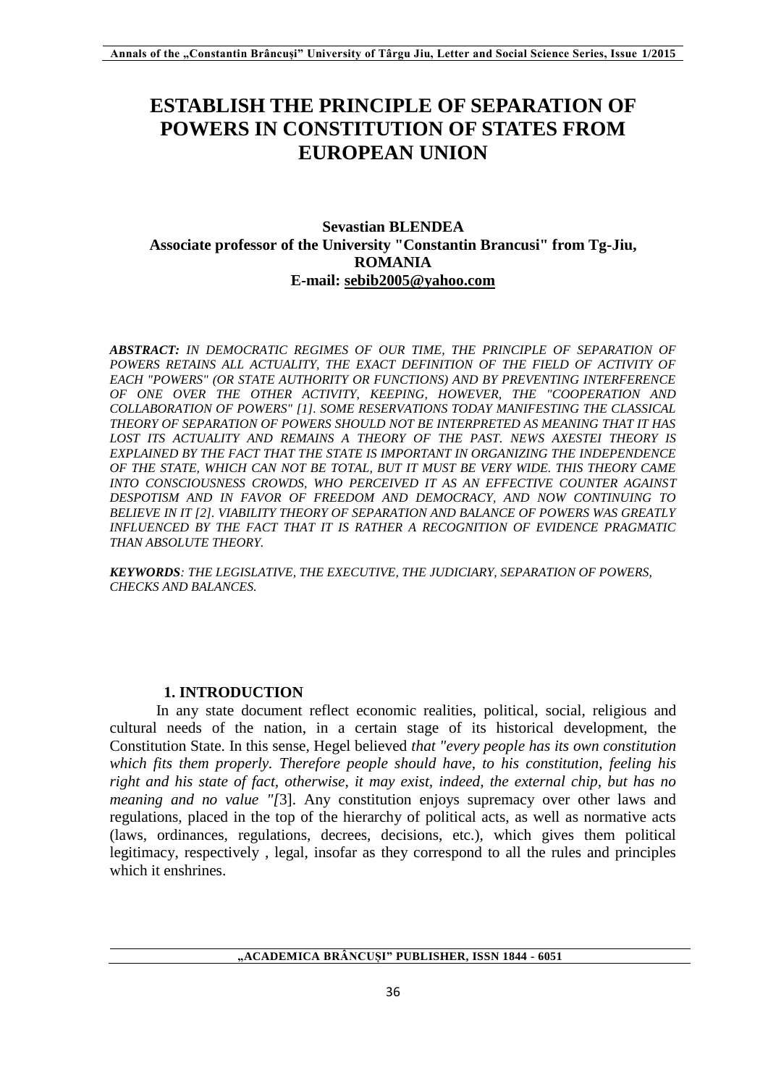# **ESTABLISH THE PRINCIPLE OF SEPARATION OF POWERS IN CONSTITUTION OF STATES FROM EUROPEAN UNION**

# **Sevastian BLENDEA Associate professor of the University "Constantin Brancusi" from Tg-Jiu, ROMANIA E-mail: [sebib2005@yahoo.com](mailto:sebib2005@yahoo.com)**

*ABSTRACT: IN DEMOCRATIC REGIMES OF OUR TIME, THE PRINCIPLE OF SEPARATION OF*  POWERS RETAINS ALL ACTUALITY. THE EXACT DEFINITION OF THE FIELD OF ACTIVITY OF *EACH "POWERS" (OR STATE AUTHORITY OR FUNCTIONS) AND BY PREVENTING INTERFERENCE OF ONE OVER THE OTHER ACTIVITY, KEEPING, HOWEVER, THE "COOPERATION AND COLLABORATION OF POWERS" [1]. SOME RESERVATIONS TODAY MANIFESTING THE CLASSICAL THEORY OF SEPARATION OF POWERS SHOULD NOT BE INTERPRETED AS MEANING THAT IT HAS LOST ITS ACTUALITY AND REMAINS A THEORY OF THE PAST. NEWS AXESTEI THEORY IS EXPLAINED BY THE FACT THAT THE STATE IS IMPORTANT IN ORGANIZING THE INDEPENDENCE OF THE STATE, WHICH CAN NOT BE TOTAL, BUT IT MUST BE VERY WIDE. THIS THEORY CAME INTO CONSCIOUSNESS CROWDS, WHO PERCEIVED IT AS AN EFFECTIVE COUNTER AGAINST DESPOTISM AND IN FAVOR OF FREEDOM AND DEMOCRACY, AND NOW CONTINUING TO BELIEVE IN IT [2]. VIABILITY THEORY OF SEPARATION AND BALANCE OF POWERS WAS GREATLY INFLUENCED BY THE FACT THAT IT IS RATHER A RECOGNITION OF EVIDENCE PRAGMATIC THAN ABSOLUTE THEORY.*

*KEYWORDS: THE LEGISLATIVE, THE EXECUTIVE, THE JUDICIARY, SEPARATION OF POWERS, CHECKS AND BALANCES.*

### **1. INTRODUCTION**

In any state document reflect economic realities, political, social, religious and cultural needs of the nation, in a certain stage of its historical development, the Constitution State. In this sense, Hegel believed *that "every people has its own constitution which fits them properly. Therefore people should have, to his constitution, feeling his right and his state of fact, otherwise, it may exist, indeed, the external chip, but has no meaning and no value "[*3]. Any constitution enjoys supremacy over other laws and regulations, placed in the top of the hierarchy of political acts, as well as normative acts (laws, ordinances, regulations, decrees, decisions, etc.), which gives them political legitimacy, respectively , legal, insofar as they correspond to all the rules and principles which it enshrines

**"ACADEMICA BRÂNCUȘI" PUBLISHER, ISSN 1844 - 6051**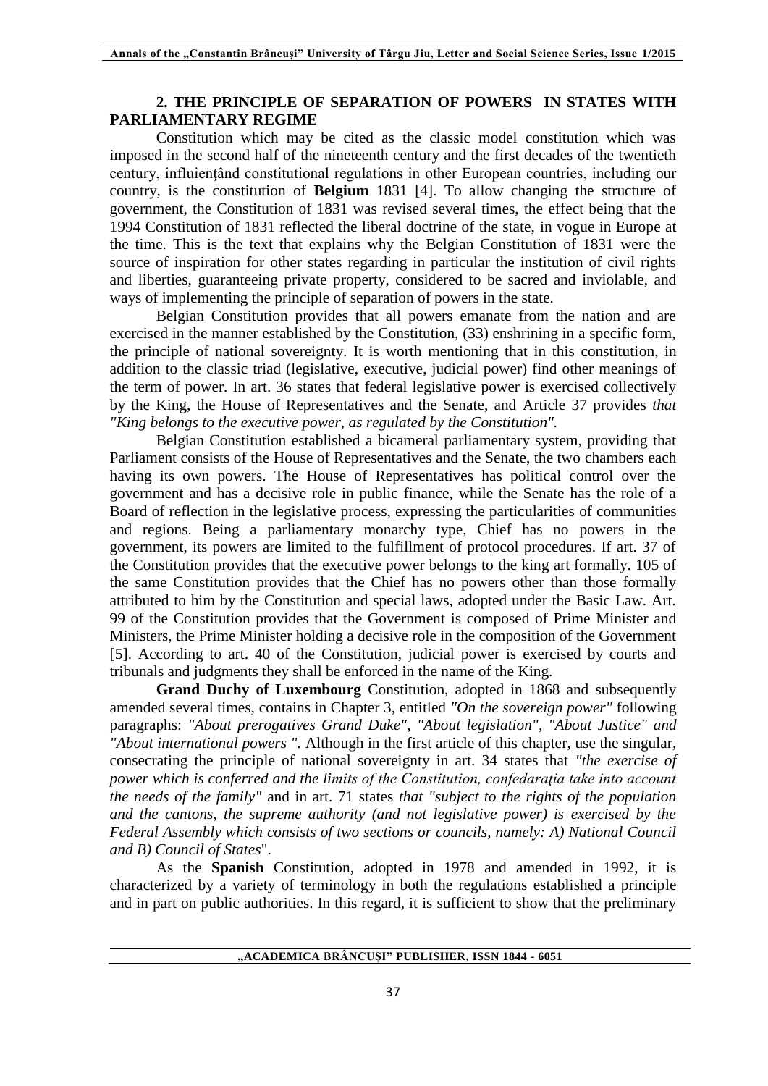## **2. THE PRINCIPLE OF SEPARATION OF POWERS IN STATES WITH PARLIAMENTARY REGIME**

Constitution which may be cited as the classic model constitution which was imposed in the second half of the nineteenth century and the first decades of the twentieth century, influienţând constitutional regulations in other European countries, including our country, is the constitution of **Belgium** 1831 [4]. To allow changing the structure of government, the Constitution of 1831 was revised several times, the effect being that the 1994 Constitution of 1831 reflected the liberal doctrine of the state, in vogue in Europe at the time. This is the text that explains why the Belgian Constitution of 1831 were the source of inspiration for other states regarding in particular the institution of civil rights and liberties, guaranteeing private property, considered to be sacred and inviolable, and ways of implementing the principle of separation of powers in the state.

Belgian Constitution provides that all powers emanate from the nation and are exercised in the manner established by the Constitution, (33) enshrining in a specific form, the principle of national sovereignty. It is worth mentioning that in this constitution, in addition to the classic triad (legislative, executive, judicial power) find other meanings of the term of power. In art. 36 states that federal legislative power is exercised collectively by the King, the House of Representatives and the Senate, and Article 37 provides *that "King belongs to the executive power, as regulated by the Constitution".*

Belgian Constitution established a bicameral parliamentary system, providing that Parliament consists of the House of Representatives and the Senate, the two chambers each having its own powers. The House of Representatives has political control over the government and has a decisive role in public finance, while the Senate has the role of a Board of reflection in the legislative process, expressing the particularities of communities and regions. Being a parliamentary monarchy type, Chief has no powers in the government, its powers are limited to the fulfillment of protocol procedures. If art. 37 of the Constitution provides that the executive power belongs to the king art formally. 105 of the same Constitution provides that the Chief has no powers other than those formally attributed to him by the Constitution and special laws, adopted under the Basic Law. Art. 99 of the Constitution provides that the Government is composed of Prime Minister and Ministers, the Prime Minister holding a decisive role in the composition of the Government [5]. According to art. 40 of the Constitution, judicial power is exercised by courts and tribunals and judgments they shall be enforced in the name of the King.

**Grand Duchy of Luxembourg** Constitution, adopted in 1868 and subsequently amended several times, contains in Chapter 3, entitled *"On the sovereign power"* following paragraphs: *"About prerogatives Grand Duke", "About legislation", "About Justice" and "About international powers ".* Although in the first article of this chapter, use the singular, consecrating the principle of national sovereignty in art. 34 states that *"the exercise of power which is conferred and the limits of the Constitution, confedaraţia take into account the needs of the family"* and in art. 71 states *that "subject to the rights of the population and the cantons, the supreme authority (and not legislative power) is exercised by the Federal Assembly which consists of two sections or councils, namely: A) National Council and B) Council of States*".

As the **Spanish** Constitution, adopted in 1978 and amended in 1992, it is characterized by a variety of terminology in both the regulations established a principle and in part on public authorities. In this regard, it is sufficient to show that the preliminary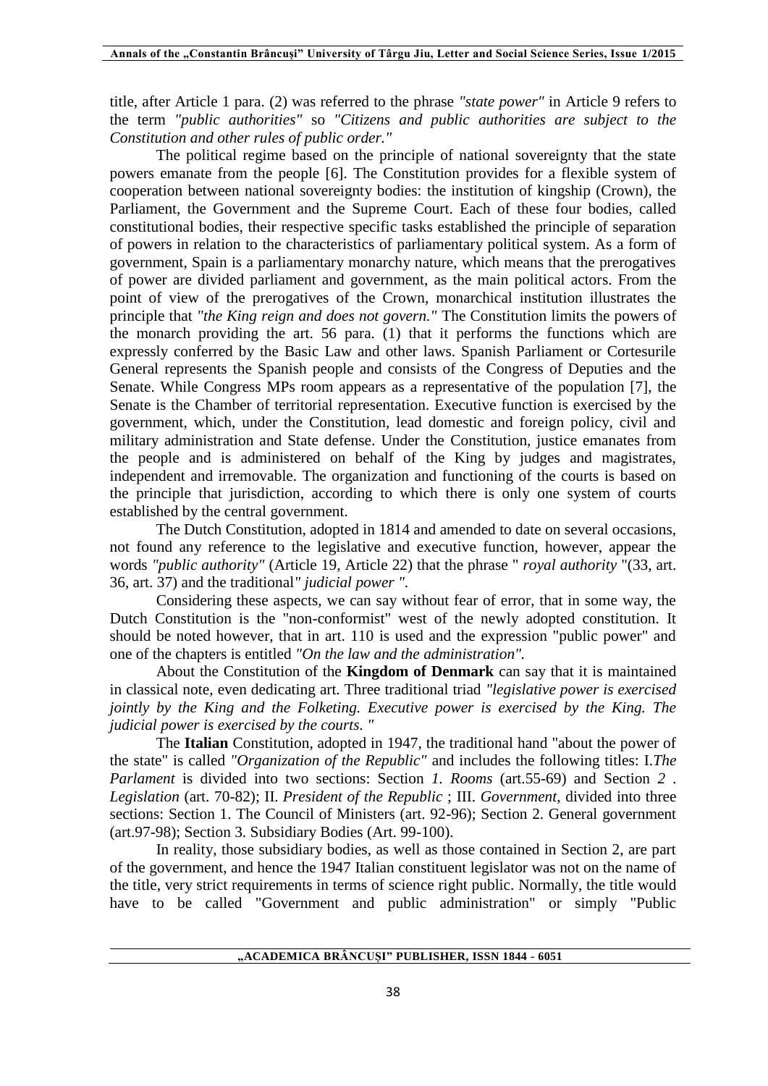title, after Article 1 para. (2) was referred to the phrase *"state power"* in Article 9 refers to the term *"public authorities"* so *"Citizens and public authorities are subject to the Constitution and other rules of public order."*

The political regime based on the principle of national sovereignty that the state powers emanate from the people [6]. The Constitution provides for a flexible system of cooperation between national sovereignty bodies: the institution of kingship (Crown), the Parliament, the Government and the Supreme Court. Each of these four bodies, called constitutional bodies, their respective specific tasks established the principle of separation of powers in relation to the characteristics of parliamentary political system. As a form of government, Spain is a parliamentary monarchy nature, which means that the prerogatives of power are divided parliament and government, as the main political actors. From the point of view of the prerogatives of the Crown, monarchical institution illustrates the principle that *"the King reign and does not govern."* The Constitution limits the powers of the monarch providing the art. 56 para. (1) that it performs the functions which are expressly conferred by the Basic Law and other laws. Spanish Parliament or Cortesurile General represents the Spanish people and consists of the Congress of Deputies and the Senate. While Congress MPs room appears as a representative of the population [7], the Senate is the Chamber of territorial representation. Executive function is exercised by the government, which, under the Constitution, lead domestic and foreign policy, civil and military administration and State defense. Under the Constitution, justice emanates from the people and is administered on behalf of the King by judges and magistrates, independent and irremovable. The organization and functioning of the courts is based on the principle that jurisdiction, according to which there is only one system of courts established by the central government.

The Dutch Constitution, adopted in 1814 and amended to date on several occasions, not found any reference to the legislative and executive function, however, appear the words *"public authority"* (Article 19, Article 22) that the phrase " *royal authority* "(33, art. 36, art. 37) and the traditional*" judicial power ".*

Considering these aspects, we can say without fear of error, that in some way, the Dutch Constitution is the "non-conformist" west of the newly adopted constitution. It should be noted however, that in art. 110 is used and the expression "public power" and one of the chapters is entitled *"On the law and the administration".*

About the Constitution of the **Kingdom of Denmark** can say that it is maintained in classical note, even dedicating art. Three traditional triad *"legislative power is exercised jointly by the King and the Folketing. Executive power is exercised by the King. The judicial power is exercised by the courts. "*

The **Italian** Constitution, adopted in 1947, the traditional hand "about the power of the state" is called *"Organization of the Republic"* and includes the following titles: I.*The Parlament* is divided into two sections: Section *1. Rooms* (art.55-69) and Section *2 . Legislation* (art. 70-82); II. *President of the Republic* ; III. *Government*, divided into three sections: Section 1. The Council of Ministers (art. 92-96); Section 2. General government (art.97-98); Section 3. Subsidiary Bodies (Art. 99-100).

In reality, those subsidiary bodies, as well as those contained in Section 2, are part of the government, and hence the 1947 Italian constituent legislator was not on the name of the title, very strict requirements in terms of science right public. Normally, the title would have to be called "Government and public administration" or simply "Public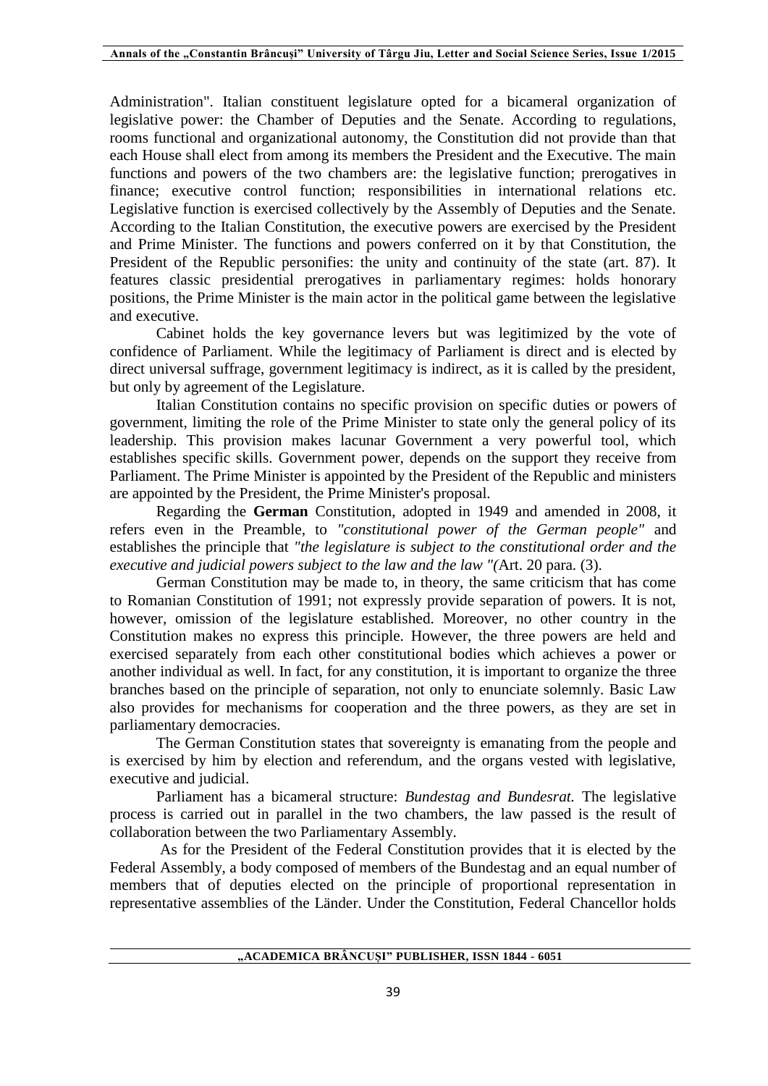Administration". Italian constituent legislature opted for a bicameral organization of legislative power: the Chamber of Deputies and the Senate. According to regulations, rooms functional and organizational autonomy, the Constitution did not provide than that each House shall elect from among its members the President and the Executive. The main functions and powers of the two chambers are: the legislative function; prerogatives in finance; executive control function; responsibilities in international relations etc. Legislative function is exercised collectively by the Assembly of Deputies and the Senate. According to the Italian Constitution, the executive powers are exercised by the President and Prime Minister. The functions and powers conferred on it by that Constitution, the President of the Republic personifies: the unity and continuity of the state (art. 87). It features classic presidential prerogatives in parliamentary regimes: holds honorary positions, the Prime Minister is the main actor in the political game between the legislative and executive.

Cabinet holds the key governance levers but was legitimized by the vote of confidence of Parliament. While the legitimacy of Parliament is direct and is elected by direct universal suffrage, government legitimacy is indirect, as it is called by the president, but only by agreement of the Legislature.

Italian Constitution contains no specific provision on specific duties or powers of government, limiting the role of the Prime Minister to state only the general policy of its leadership. This provision makes lacunar Government a very powerful tool, which establishes specific skills. Government power, depends on the support they receive from Parliament. The Prime Minister is appointed by the President of the Republic and ministers are appointed by the President, the Prime Minister's proposal.

Regarding the **German** Constitution, adopted in 1949 and amended in 2008, it refers even in the Preamble, to *"constitutional power of the German people"* and establishes the principle that *"the legislature is subject to the constitutional order and the executive and judicial powers subject to the law and the law "(*Art. 20 para. (3).

German Constitution may be made to, in theory, the same criticism that has come to Romanian Constitution of 1991; not expressly provide separation of powers. It is not, however, omission of the legislature established. Moreover, no other country in the Constitution makes no express this principle. However, the three powers are held and exercised separately from each other constitutional bodies which achieves a power or another individual as well. In fact, for any constitution, it is important to organize the three branches based on the principle of separation, not only to enunciate solemnly. Basic Law also provides for mechanisms for cooperation and the three powers, as they are set in parliamentary democracies.

The German Constitution states that sovereignty is emanating from the people and is exercised by him by election and referendum, and the organs vested with legislative, executive and judicial.

Parliament has a bicameral structure: *Bundestag and Bundesrat.* The legislative process is carried out in parallel in the two chambers, the law passed is the result of collaboration between the two Parliamentary Assembly.

As for the President of the Federal Constitution provides that it is elected by the Federal Assembly, a body composed of members of the Bundestag and an equal number of members that of deputies elected on the principle of proportional representation in representative assemblies of the Länder. Under the Constitution, Federal Chancellor holds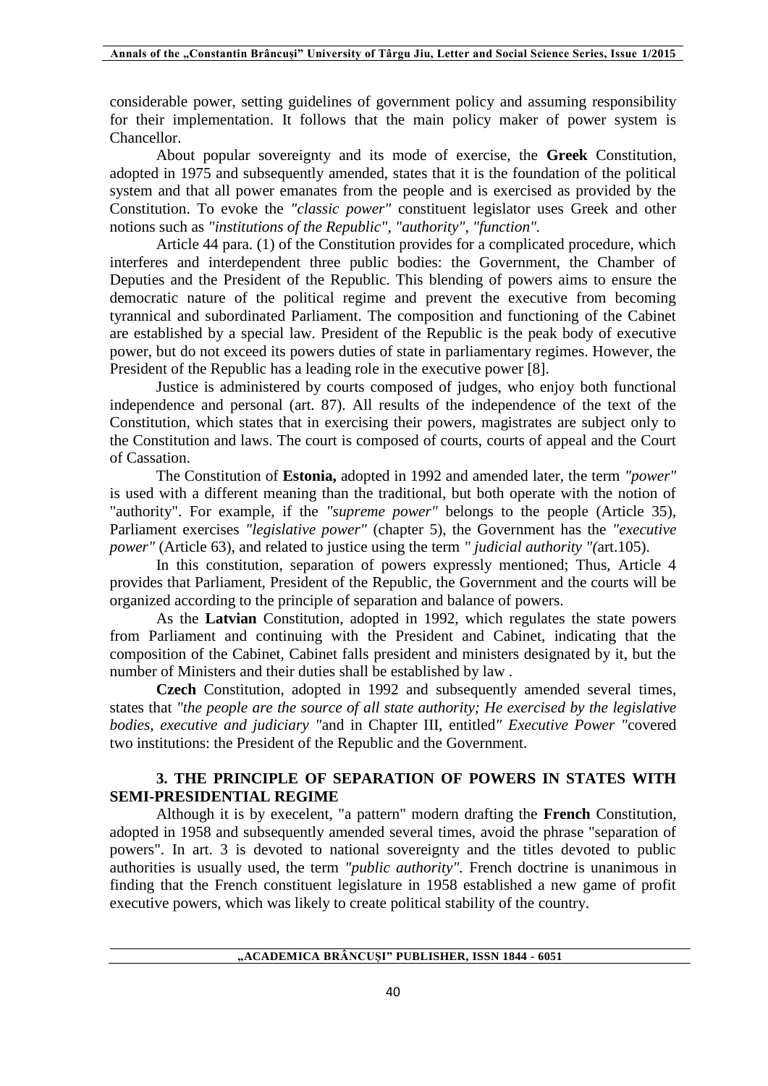considerable power, setting guidelines of government policy and assuming responsibility for their implementation. It follows that the main policy maker of power system is Chancellor.

About popular sovereignty and its mode of exercise, the **Greek** Constitution, adopted in 1975 and subsequently amended, states that it is the foundation of the political system and that all power emanates from the people and is exercised as provided by the Constitution. To evoke the *"classic power"* constituent legislator uses Greek and other notions such as *"institutions of the Republic", "authority", "function".*

Article 44 para. (1) of the Constitution provides for a complicated procedure, which interferes and interdependent three public bodies: the Government, the Chamber of Deputies and the President of the Republic. This blending of powers aims to ensure the democratic nature of the political regime and prevent the executive from becoming tyrannical and subordinated Parliament. The composition and functioning of the Cabinet are established by a special law. President of the Republic is the peak body of executive power, but do not exceed its powers duties of state in parliamentary regimes. However, the President of the Republic has a leading role in the executive power [8].

Justice is administered by courts composed of judges, who enjoy both functional independence and personal (art. 87). All results of the independence of the text of the Constitution, which states that in exercising their powers, magistrates are subject only to the Constitution and laws. The court is composed of courts, courts of appeal and the Court of Cassation.

The Constitution of **Estonia,** adopted in 1992 and amended later, the term *"power"* is used with a different meaning than the traditional, but both operate with the notion of "authority". For example, if the *"supreme power"* belongs to the people (Article 35), Parliament exercises *"legislative power"* (chapter 5), the Government has the *"executive power"* (Article 63), and related to justice using the term *" judicial authority "(*art.105).

In this constitution, separation of powers expressly mentioned; Thus, Article 4 provides that Parliament, President of the Republic, the Government and the courts will be organized according to the principle of separation and balance of powers.

As the **Latvian** Constitution, adopted in 1992, which regulates the state powers from Parliament and continuing with the President and Cabinet, indicating that the composition of the Cabinet, Cabinet falls president and ministers designated by it, but the number of Ministers and their duties shall be established by law .

**Czech** Constitution, adopted in 1992 and subsequently amended several times, states that *"the people are the source of all state authority; He exercised by the legislative bodies, executive and judiciary "*and in Chapter III, entitled*" Executive Power "*covered two institutions: the President of the Republic and the Government.

## **3. THE PRINCIPLE OF SEPARATION OF POWERS IN STATES WITH SEMI-PRESIDENTIAL REGIME**

Although it is by execelent, "a pattern" modern drafting the **French** Constitution, adopted in 1958 and subsequently amended several times, avoid the phrase "separation of powers". In art. 3 is devoted to national sovereignty and the titles devoted to public authorities is usually used, the term *"public authority".* French doctrine is unanimous in finding that the French constituent legislature in 1958 established a new game of profit executive powers, which was likely to create political stability of the country.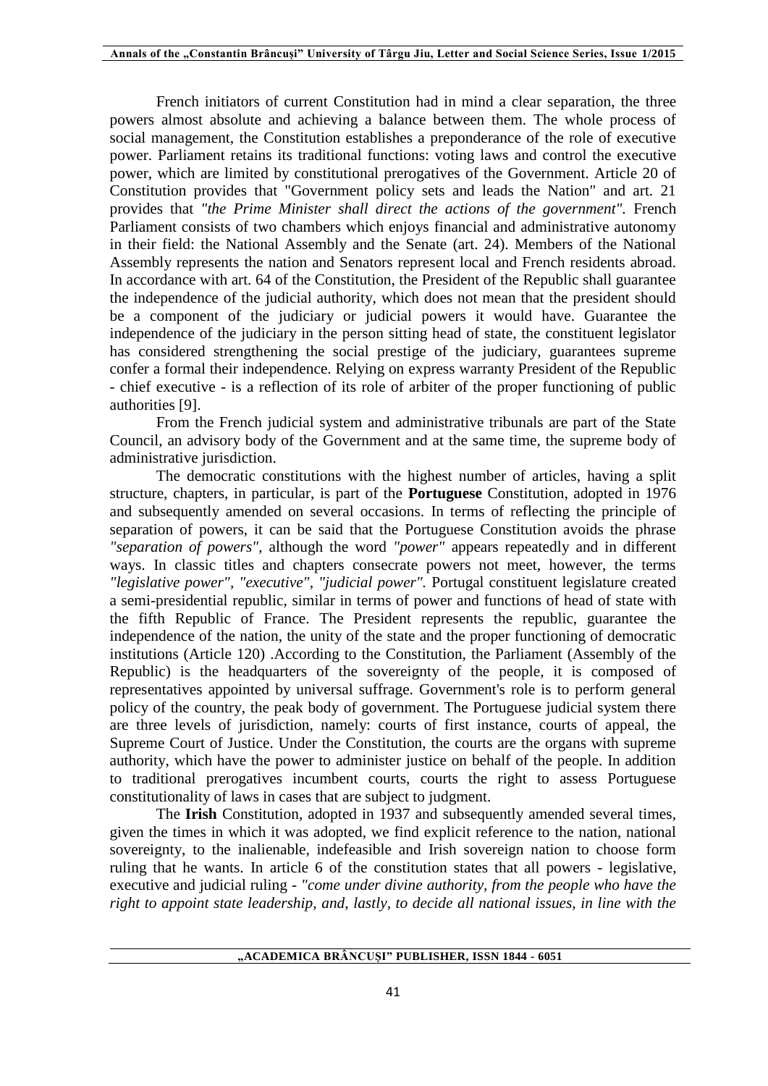French initiators of current Constitution had in mind a clear separation, the three powers almost absolute and achieving a balance between them. The whole process of social management, the Constitution establishes a preponderance of the role of executive power. Parliament retains its traditional functions: voting laws and control the executive power, which are limited by constitutional prerogatives of the Government. Article 20 of Constitution provides that "Government policy sets and leads the Nation" and art. 21 provides that *"the Prime Minister shall direct the actions of the government".* French Parliament consists of two chambers which enjoys financial and administrative autonomy in their field: the National Assembly and the Senate (art. 24). Members of the National Assembly represents the nation and Senators represent local and French residents abroad. In accordance with art. 64 of the Constitution, the President of the Republic shall guarantee the independence of the judicial authority, which does not mean that the president should be a component of the judiciary or judicial powers it would have. Guarantee the independence of the judiciary in the person sitting head of state, the constituent legislator has considered strengthening the social prestige of the judiciary, guarantees supreme confer a formal their independence. Relying on express warranty President of the Republic - chief executive - is a reflection of its role of arbiter of the proper functioning of public authorities [9].

From the French judicial system and administrative tribunals are part of the State Council, an advisory body of the Government and at the same time, the supreme body of administrative jurisdiction.

The democratic constitutions with the highest number of articles, having a split structure, chapters, in particular, is part of the **Portuguese** Constitution, adopted in 1976 and subsequently amended on several occasions. In terms of reflecting the principle of separation of powers, it can be said that the Portuguese Constitution avoids the phrase *"separation of powers",* although the word *"power"* appears repeatedly and in different ways. In classic titles and chapters consecrate powers not meet, however, the terms *"legislative power", "executive", "judicial power".* Portugal constituent legislature created a semi-presidential republic, similar in terms of power and functions of head of state with the fifth Republic of France. The President represents the republic, guarantee the independence of the nation, the unity of the state and the proper functioning of democratic institutions (Article 120) .According to the Constitution, the Parliament (Assembly of the Republic) is the headquarters of the sovereignty of the people, it is composed of representatives appointed by universal suffrage. Government's role is to perform general policy of the country, the peak body of government. The Portuguese judicial system there are three levels of jurisdiction, namely: courts of first instance, courts of appeal, the Supreme Court of Justice. Under the Constitution, the courts are the organs with supreme authority, which have the power to administer justice on behalf of the people. In addition to traditional prerogatives incumbent courts, courts the right to assess Portuguese constitutionality of laws in cases that are subject to judgment.

The **Irish** Constitution, adopted in 1937 and subsequently amended several times, given the times in which it was adopted, we find explicit reference to the nation, national sovereignty, to the inalienable, indefeasible and Irish sovereign nation to choose form ruling that he wants. In article 6 of the constitution states that all powers - legislative, executive and judicial ruling - *"come under divine authority, from the people who have the right to appoint state leadership, and, lastly, to decide all national issues, in line with the*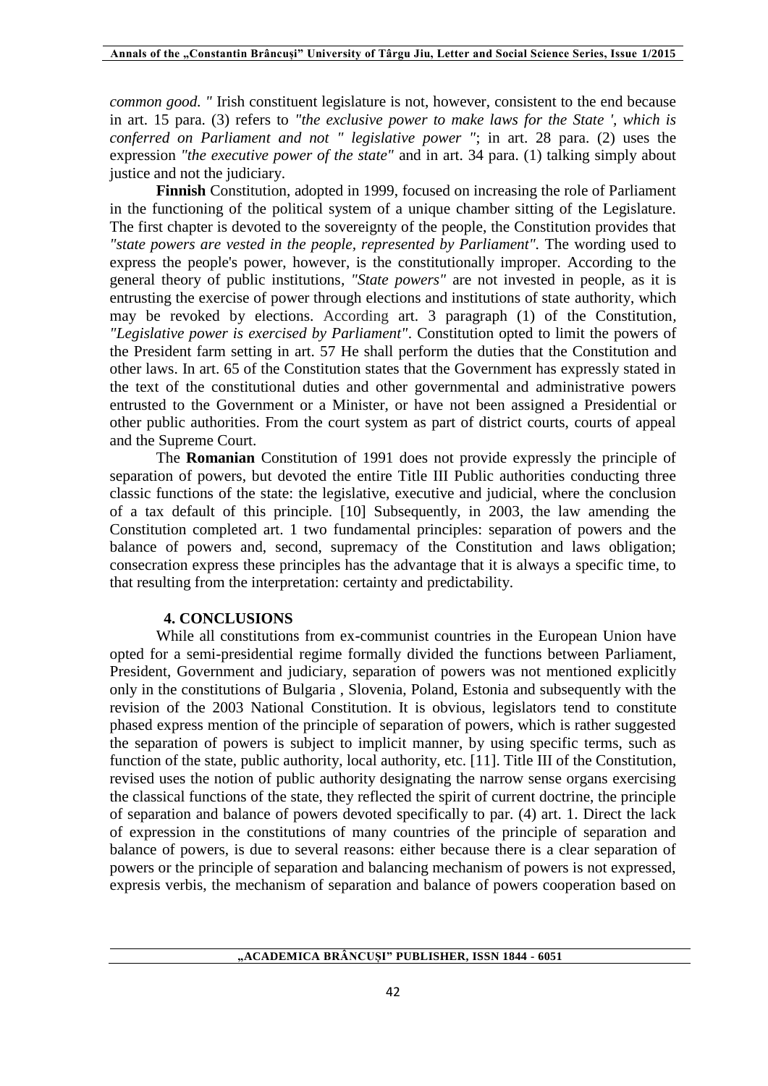*common good. "* Irish constituent legislature is not, however, consistent to the end because in art. 15 para. (3) refers to *"the exclusive power to make laws for the State ', which is conferred on Parliament and not " legislative power "*; in art. 28 para. (2) uses the expression *"the executive power of the state"* and in art. 34 para. (1) talking simply about justice and not the judiciary.

**Finnish** Constitution, adopted in 1999, focused on increasing the role of Parliament in the functioning of the political system of a unique chamber sitting of the Legislature. The first chapter is devoted to the sovereignty of the people, the Constitution provides that *"state powers are vested in the people, represented by Parliament".* The wording used to express the people's power, however, is the constitutionally improper. According to the general theory of public institutions*, "State powers"* are not invested in people, as it is entrusting the exercise of power through elections and institutions of state authority, which may be revoked by elections. According art. 3 paragraph (1) of the Constitution*, "Legislative power is exercised by Parliament"*. Constitution opted to limit the powers of the President farm setting in art. 57 He shall perform the duties that the Constitution and other laws. In art. 65 of the Constitution states that the Government has expressly stated in the text of the constitutional duties and other governmental and administrative powers entrusted to the Government or a Minister, or have not been assigned a Presidential or other public authorities. From the court system as part of district courts, courts of appeal and the Supreme Court.

The **Romanian** Constitution of 1991 does not provide expressly the principle of separation of powers, but devoted the entire Title III Public authorities conducting three classic functions of the state: the legislative, executive and judicial, where the conclusion of a tax default of this principle. [10] Subsequently, in 2003, the law amending the Constitution completed art. 1 two fundamental principles: separation of powers and the balance of powers and, second, supremacy of the Constitution and laws obligation; consecration express these principles has the advantage that it is always a specific time, to that resulting from the interpretation: certainty and predictability.

#### **4. CONCLUSIONS**

While all constitutions from ex-communist countries in the European Union have opted for a semi-presidential regime formally divided the functions between Parliament, President, Government and judiciary, separation of powers was not mentioned explicitly only in the constitutions of Bulgaria , Slovenia, Poland, Estonia and subsequently with the revision of the 2003 National Constitution. It is obvious, legislators tend to constitute phased express mention of the principle of separation of powers, which is rather suggested the separation of powers is subject to implicit manner, by using specific terms, such as function of the state, public authority, local authority, etc. [11]. Title III of the Constitution, revised uses the notion of public authority designating the narrow sense organs exercising the classical functions of the state, they reflected the spirit of current doctrine, the principle of separation and balance of powers devoted specifically to par. (4) art. 1. Direct the lack of expression in the constitutions of many countries of the principle of separation and balance of powers, is due to several reasons: either because there is a clear separation of powers or the principle of separation and balancing mechanism of powers is not expressed, expresis verbis, the mechanism of separation and balance of powers cooperation based on